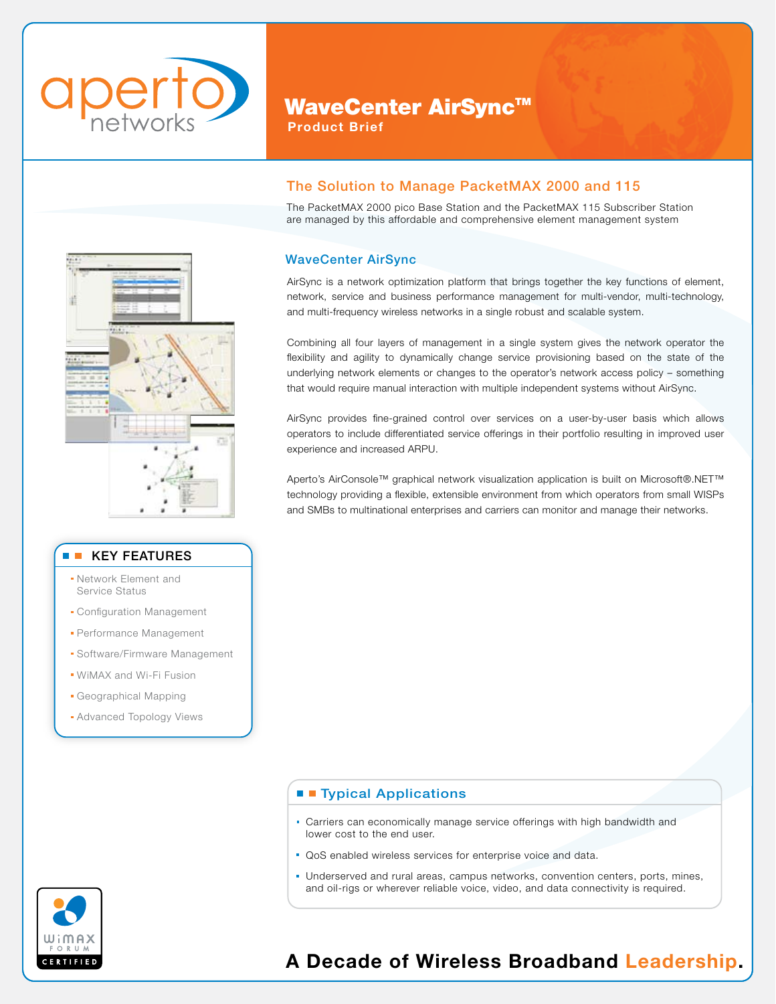

# WaveCenter AirSync™

Product Brief

## The Solution to Manage PacketMAX 2000 and 115

The PacketMAX 2000 pico Base Station and the PacketMAX 115 Subscriber Station are managed by this affordable and comprehensive element management system

## WaveCenter AirSync

AirSync is a network optimization platform that brings together the key functions of element, network, service and business performance management for multi-vendor, multi-technology, and multi-frequency wireless networks in a single robust and scalable system.

Combining all four layers of management in a single system gives the network operator the flexibility and agility to dynamically change service provisioning based on the state of the underlying network elements or changes to the operator's network access policy – something that would require manual interaction with multiple independent systems without AirSync.

AirSync provides fine-grained control over services on a user-by-user basis which allows operators to include differentiated service offerings in their portfolio resulting in improved user experience and increased ARPU.

Aperto's AirConsole™ graphical network visualization application is built on Microsoft®.NET™ technology providing a flexible, extensible environment from which operators from small WISPs and SMBs to multinational enterprises and carriers can monitor and manage their networks.

### **TE Typical Applications**

- Carriers can economically manage service offerings with high bandwidth and lower cost to the end user.
- QoS enabled wireless services for enterprise voice and data.
- Underserved and rural areas, campus networks, convention centers, ports, mines, and oil-rigs or wherever reliable voice, video, and data connectivity is required.



# A Decade of Wireless Broadband Leadership.



#### **The Co** KEY FEATURES

- Network Element and Service Status
- **Configuration Management**
- Performance Management
- Software/Firmware Management
- WiMAX and Wi-Fi Fusion
- Geographical Mapping
- **Advanced Topology Views**